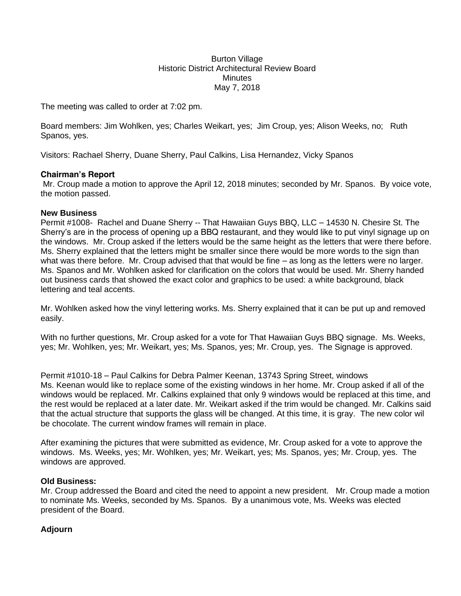Burton Village Historic District Architectural Review Board **Minutes** May 7, 2018

The meeting was called to order at 7:02 pm.

Board members: Jim Wohlken, yes; Charles Weikart, yes; Jim Croup, yes; Alison Weeks, no; Ruth Spanos, yes.

Visitors: Rachael Sherry, Duane Sherry, Paul Calkins, Lisa Hernandez, Vicky Spanos

## **Chairman's Report**

Mr. Croup made a motion to approve the April 12, 2018 minutes; seconded by Mr. Spanos. By voice vote, the motion passed.

## **New Business**

Permit #1008- Rachel and Duane Sherry -- That Hawaiian Guys BBQ, LLC – 14530 N. Chesire St. The Sherry's are in the process of opening up a BBQ restaurant, and they would like to put vinyl signage up on the windows. Mr. Croup asked if the letters would be the same height as the letters that were there before. Ms. Sherry explained that the letters might be smaller since there would be more words to the sign than what was there before. Mr. Croup advised that that would be fine – as long as the letters were no larger. Ms. Spanos and Mr. Wohlken asked for clarification on the colors that would be used. Mr. Sherry handed out business cards that showed the exact color and graphics to be used: a white background, black lettering and teal accents.

Mr. Wohlken asked how the vinyl lettering works. Ms. Sherry explained that it can be put up and removed easily.

With no further questions, Mr. Croup asked for a vote for That Hawaiian Guys BBQ signage. Ms. Weeks, yes; Mr. Wohlken, yes; Mr. Weikart, yes; Ms. Spanos, yes; Mr. Croup, yes. The Signage is approved.

Permit #1010-18 – Paul Calkins for Debra Palmer Keenan, 13743 Spring Street, windows Ms. Keenan would like to replace some of the existing windows in her home. Mr. Croup asked if all of the windows would be replaced. Mr. Calkins explained that only 9 windows would be replaced at this time, and the rest would be replaced at a later date. Mr. Weikart asked if the trim would be changed. Mr. Calkins said that the actual structure that supports the glass will be changed. At this time, it is gray. The new color wil be chocolate. The current window frames will remain in place.

After examining the pictures that were submitted as evidence, Mr. Croup asked for a vote to approve the windows. Ms. Weeks, yes; Mr. Wohlken, yes; Mr. Weikart, yes; Ms. Spanos, yes; Mr. Croup, yes. The windows are approved.

## **Old Business:**

Mr. Croup addressed the Board and cited the need to appoint a new president. Mr. Croup made a motion to nominate Ms. Weeks, seconded by Ms. Spanos. By a unanimous vote, Ms. Weeks was elected president of the Board.

## **Adjourn**